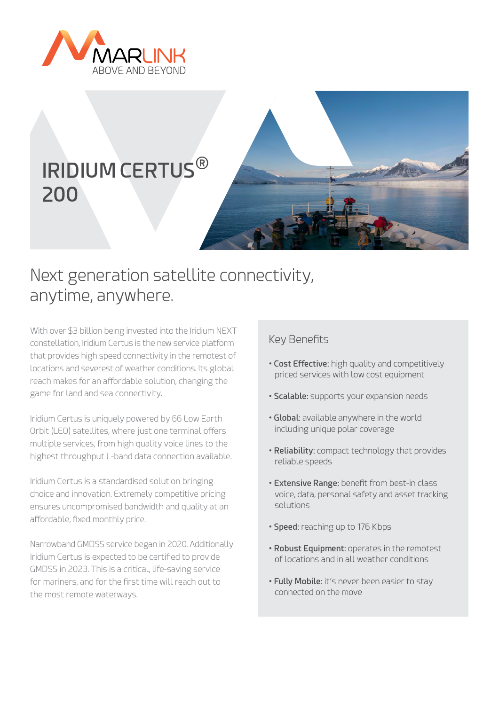

# **IRIDIUM CERTUS**® **200**



## Next generation satellite connectivity, anytime, anywhere.

With over \$3 billion being invested into the Iridium NEXT constellation, Iridium Certus is the new service platform that provides high speed connectivity in the remotest of locations and severest of weather conditions. Its global reach makes for an affordable solution, changing the game for land and sea connectivity.

Iridium Certus is uniquely powered by 66 Low Earth Orbit (LEO) satellites, where just one terminal offers multiple services, from high quality voice lines to the highest throughput L-band data connection available.

Iridium Certus is a standardised solution bringing choice and innovation. Extremely competitive pricing ensures uncompromised bandwidth and quality at an affordable, fixed monthly price.

Narrowband GMDSS service began in 2020. Additionally Iridium Certus is expected to be certified to provide GMDSS in 2023. This is a critical, life-saving service for mariners, and for the first time will reach out to the most remote waterways.

### Key Benefits

- **Cost Effective:** high quality and competitively priced services with low cost equipment
- **Scalable:** supports your expansion needs
- **Global:** available anywhere in the world including unique polar coverage
- **Reliability:** compact technology that provides reliable speeds
- **Extensive Range:** benefit from best-in class voice, data, personal safety and asset tracking solutions
- **Speed:** reaching up to 176 Kbps
- **Robust Equipment:** operates in the remotest of locations and in all weather conditions
- **Fully Mobile:** it's never been easier to stay connected on the move